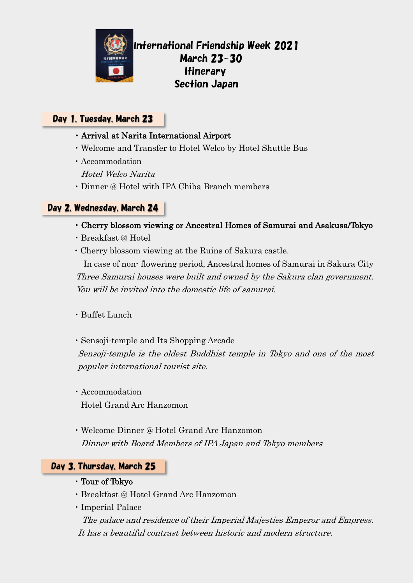

# International Friendship Week 2021 March 23-30 Itinerary Section Japan

## Day 1, Tuesday, March 23

- ・Arrival at Narita International Airport
- ・Welcome and Transfer to Hotel Welco by Hotel Shuttle Bus
- ・Accommodation

Hotel Welco Narita

・Dinner @ Hotel with IPA Chiba Branch members

## Day 2, Wednesday, March 24

- ・Cherry blossom viewing or Ancestral Homes of Samurai and Asakusa/Tokyo
- ・Breakfast @ Hotel
- ・Cherry blossom viewing at the Ruins of Sakura castle.

In case of non- flowering period, Ancestral homes of Samurai in Sakura City Three Samurai houses were built and owned by the Sakura clan government. You will be invited into the domestic life of samurai.

- ・Buffet Lunch
- ・Sensoji-temple and Its Shopping Arcade

Sensoji-temple is the oldest Buddhist temple in Tokyo and one of the most popular international tourist site.

- ・Accommodation Hotel Grand Arc Hanzomon
- ・Welcome Dinner @ Hotel Grand Arc Hanzomon Dinner with Board Members of IPA Japan and Tokyo members

# **Day 3, Thursday, March 25**

- ・Tour of Tokyo
- ・Breakfast @ Hotel Grand Arc Hanzomon
- ・Imperial Palace

 The palace and residence of their Imperial Majesties Emperor and Empress. It has a beautiful contrast between historic and modern structure.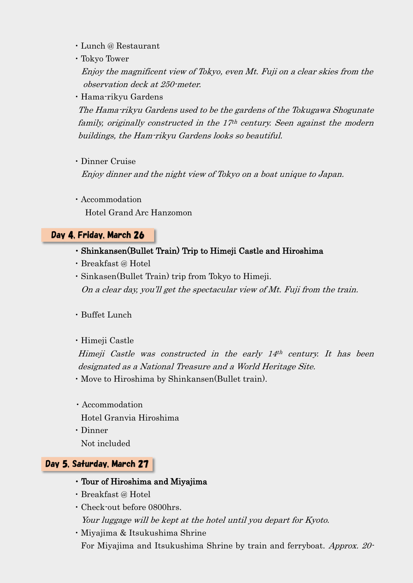- ・Lunch @ Restaurant
- ・Tokyo Tower

 Enjoy the magnificent view of Tokyo, even Mt. Fuji on a clear skies from the observation deck at 250-meter.

・Hama-rikyu Gardens

 The Hama-rikyu Gardens used to be the gardens of the Tokugawa Shogunate family, originally constructed in the  $17<sup>th</sup>$  century. Seen against the modern buildings, the Ham-rikyu Gardens looks so beautiful.

・Dinner Cruise

Enjoy dinner and the night view of Tokyo on a boat unique to Japan.

・Accommodation Hotel Grand Arc Hanzomon

# Day 4, Friday, March 26

### ・Shinkansen(Bullet Train) Trip to Himeji Castle and Hiroshima

- ・Breakfast @ Hotel
- ・Sinkasen(Bullet Train) trip from Tokyo to Himeji. On a clear day, you'll get the spectacular view of Mt. Fuji from the train.
- ・Buffet Lunch
- ・Himeji Castle

 Himeji Castle was constructed in the early 14th century. It has been designated as a National Treasure and a World Heritage Site.

- ・Move to Hiroshima by Shinkansen(Bullet train).
- ・Accommodation
- Hotel Granvia Hiroshima
- ・Dinner
- Not included

## Day 5, Saturday, March 27

- ・Tour of Hiroshima and Miyajima
- ・Breakfast @ Hotel
- ・Check-out before 0800hrs.

Your luggage will be kept at the hotel until you depart for Kyoto.

・Miyajima & Itsukushima Shrine For Miyajima and Itsukushima Shrine by train and ferryboat. Approx. 20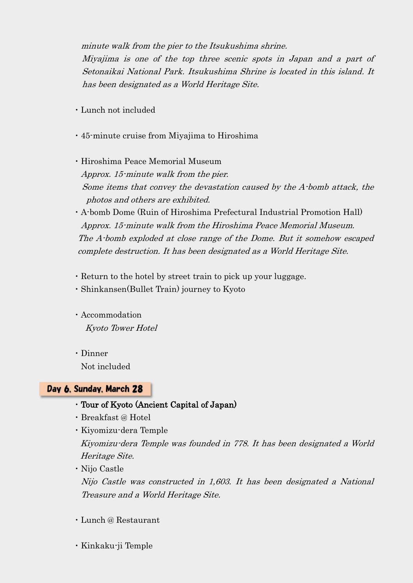minute walk from the pier to the Itsukushima shrine.

 Miyajima is one of the top three scenic spots in Japan and a part of Setonaikai National Park. Itsukushima Shrine is located in this island. It has been designated as a World Heritage Site.

- ・Lunch not included
- ・45-minute cruise from Miyajima to Hiroshima

・Hiroshima Peace Memorial Museum Approx. 15-minute walk from the pier. Some items that convey the devastation caused by the A-bomb attack, the photos and others are exhibited.

- ・A-bomb Dome (Ruin of Hiroshima Prefectural Industrial Promotion Hall) Approx. 15-minute walk from the Hiroshima Peace Memorial Museum. The A-bomb exploded at close range of the Dome. But it somehow escaped complete destruction. It has been designated as a World Heritage Site.
- ・Return to the hotel by street train to pick up your luggage.
- ・Shinkansen(Bullet Train) journey to Kyoto
- ・Accommodation Kyoto Tower Hotel
- ・Dinner Not included

### Day 6, Sunday, March 28

- ・Tour of Kyoto (Ancient Capital of Japan)
- ・Breakfast @ Hotel
- ・Kiyomizu-dera Temple Kiyomizu-dera Temple was founded in 778. It has been designated a World Heritage Site.
- ・Nijo Castle

Nijo Castle was constructed in 1,603. It has been designated a National Treasure and a World Heritage Site.

- ・Lunch @ Restaurant
- ・Kinkaku-ji Temple